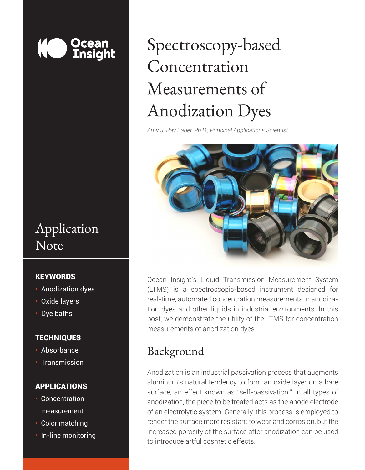

# Application Note

#### **KEYWORDS**

- Anodization dyes
- Oxide layers
- Dye baths

## **TECHNIQUES**

- Absorbance
- Transmission

## APPLICATIONS

- Concentration measurement
- Color matching
- In-line monitoring

# Spectroscopy-based Concentration Measurements of Anodization Dyes

*Amy J. Ray Bauer, Ph.D., Principal Applications Scientist*



Ocean Insight's Liquid Transmission Measurement System (LTMS) is a spectroscopic-based instrument designed for real-time, automated concentration measurements in anodization dyes and other liquids in industrial environments. In this post, we demonstrate the utility of the LTMS for concentration measurements of anodization dyes.

## Background

*Unlocking the Unknown with Applied Spectral Knowledge.* to introduce artful cosmetic effects. Anodization is an industrial passivation process that augments aluminum's natural tendency to form an oxide layer on a bare surface, an effect known as "self-passivation." In all types of anodization, the piece to be treated acts as the anode electrode of an electrolytic system. Generally, this process is employed to render the surface more resistant to wear and corrosion, but the increased porosity of the surface after anodization can be used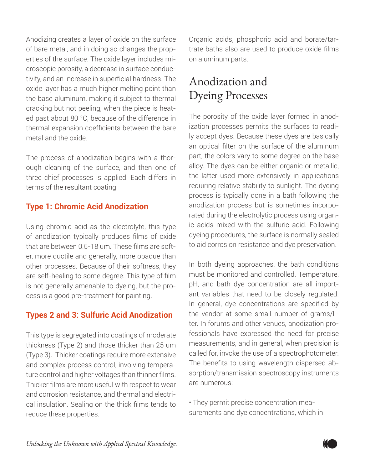Anodizing creates a layer of oxide on the surface of bare metal, and in doing so changes the properties of the surface. The oxide layer includes microscopic porosity, a decrease in surface conductivity, and an increase in superficial hardness. The oxide layer has a much higher melting point than the base aluminum, making it subject to thermal cracking but not peeling, when the piece is heated past about 80 °C, because of the difference in thermal expansion coefficients between the bare metal and the oxide.

The process of anodization begins with a thorough cleaning of the surface, and then one of three chief processes is applied. Each differs in terms of the resultant coating.

## **Type 1: Chromic Acid Anodization**

Using chromic acid as the electrolyte, this type of anodization typically produces films of oxide that are between 0.5-18 um. These films are softer, more ductile and generally, more opaque than other processes. Because of their softness, they are self-healing to some degree. This type of film is not generally amenable to dyeing, but the process is a good pre-treatment for painting.

## **Types 2 and 3: Sulfuric Acid Anodization**

This type is segregated into coatings of moderate thickness (Type 2) and those thicker than 25 um (Type 3). Thicker coatings require more extensive and complex process control, involving temperature control and higher voltages than thinner films. Thicker films are more useful with respect to wear and corrosion resistance, and thermal and electrical insulation. Sealing on the thick films tends to reduce these properties.

Organic acids, phosphoric acid and borate/tartrate baths also are used to produce oxide films on aluminum parts.

# Anodization and Dyeing Processes

The porosity of the oxide layer formed in anodization processes permits the surfaces to readily accept dyes. Because these dyes are basically an optical filter on the surface of the aluminum part, the colors vary to some degree on the base alloy. The dyes can be either organic or metallic, the latter used more extensively in applications requiring relative stability to sunlight. The dyeing process is typically done in a bath following the anodization process but is sometimes incorporated during the electrolytic process using organic acids mixed with the sulfuric acid. Following dyeing procedures, the surface is normally sealed to aid corrosion resistance and dye preservation.

In both dyeing approaches, the bath conditions must be monitored and controlled. Temperature, pH, and bath dye concentration are all important variables that need to be closely regulated. In general, dye concentrations are specified by the vendor at some small number of grams/liter. In forums and other venues, anodization professionals have expressed the need for precise measurements, and in general, when precision is called for, invoke the use of a spectrophotometer. The benefits to using wavelength dispersed absorption/transmission spectroscopy instruments are numerous:

• They permit precise concentration measurements and dye concentrations, which in